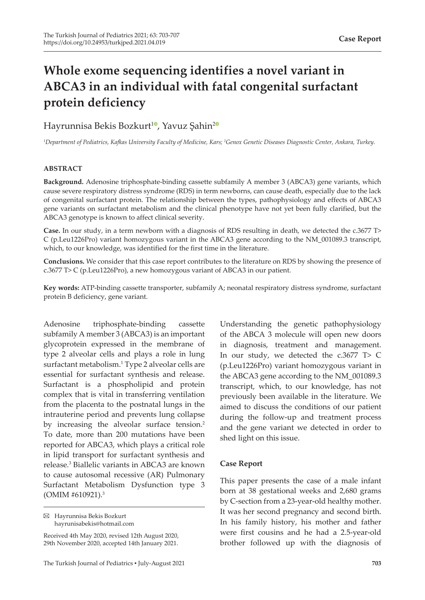# **Whole exome sequencing identifies a novel variant in ABCA3 in an individual with fatal congenital surfactant protein deficiency**

# Hayrunnisa Bekis Bozkurt<sup>[1](https://orcid.org/0000-0001-8642-4872)0</sup>, Yavuz Şahin<sup>[2](https://orcid.org/0000-0002-7831-067X)0</sup>

*1 Department of Pediatrics, Kafkas University Faculty of Medicine, Kars; <sup>2</sup> Genox Genetic Diseases Diagnostic Center, Ankara, Turkey.*

# **ABSTRACT**

**Background.** Adenosine triphosphate-binding cassette subfamily A member 3 (ABCA3) gene variants, which cause severe respiratory distress syndrome (RDS) in term newborns, can cause death, especially due to the lack of congenital surfactant protein. The relationship between the types, pathophysiology and effects of ABCA3 gene variants on surfactant metabolism and the clinical phenotype have not yet been fully clarified, but the ABCA3 genotype is known to affect clinical severity.

**Case.** In our study, in a term newborn with a diagnosis of RDS resulting in death, we detected the c.3677 T> C (p.Leu1226Pro) variant homozygous variant in the ABCA3 gene according to the NM\_001089.3 transcript, which, to our knowledge, was identified for the first time in the literature.

**Conclusions.** We consider that this case report contributes to the literature on RDS by showing the presence of c.3677 T> C (p.Leu1226Pro), a new homozygous variant of ABCA3 in our patient.

**Key words:** ATP-binding cassette transporter, subfamily A; neonatal respiratory distress syndrome, surfactant protein B deficiency, gene variant.

Adenosine triphosphate-binding cassette subfamily A member 3 (ABCA3) is an important glycoprotein expressed in the membrane of type 2 alveolar cells and plays a role in lung surfactant metabolism.<sup>1</sup> Type 2 alveolar cells are essential for surfactant synthesis and release. Surfactant is a phospholipid and protein complex that is vital in transferring ventilation from the placenta to the postnatal lungs in the intrauterine period and prevents lung collapse by increasing the alveolar surface tension.<sup>2</sup> To date, more than 200 mutations have been reported for ABCA3, which plays a critical role in lipid transport for surfactant synthesis and release.3 Biallelic variants in ABCA3 are known to cause autosomal recessive (AR) Pulmonary Surfactant Metabolism Dysfunction type 3 (OMIM #610921).<sup>3</sup>

Hayrunnisa Bekis Bozkurt hayrunisabekis@hotmail.com

Received 4th May 2020, revised 12th August 2020, 29th November 2020, accepted 14th January 2021.

Understanding the genetic pathophysiology of the ABCA 3 molecule will open new doors in diagnosis, treatment and management. In our study, we detected the c.3677 T> C (p.Leu1226Pro) variant homozygous variant in the ABCA3 gene according to the NM\_001089.3 transcript, which, to our knowledge, has not previously been available in the literature. We aimed to discuss the conditions of our patient during the follow-up and treatment process and the gene variant we detected in order to shed light on this issue.

# **Case Report**

This paper presents the case of a male infant born at 38 gestational weeks and 2,680 grams by C-section from a 23-year-old healthy mother. It was her second pregnancy and second birth. In his family history, his mother and father were first cousins and he had a 2.5-year-old brother followed up with the diagnosis of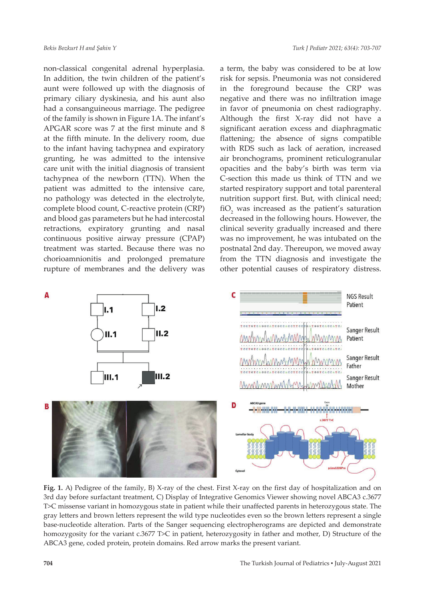non-classical congenital adrenal hyperplasia. In addition, the twin children of the patient's aunt were followed up with the diagnosis of primary ciliary dyskinesia, and his aunt also had a consanguineous marriage. The pedigree of the family is shown in Figure 1A. The infant's APGAR score was 7 at the first minute and 8 at the fifth minute. In the delivery room, due to the infant having tachypnea and expiratory grunting, he was admitted to the intensive care unit with the initial diagnosis of transient tachypnea of the newborn (TTN). When the patient was admitted to the intensive care, no pathology was detected in the electrolyte, complete blood count, C-reactive protein (CRP) and blood gas parameters but he had intercostal retractions, expiratory grunting and nasal continuous positive airway pressure (CPAP) treatment was started. Because there was no chorioamnionitis and prolonged premature rupture of membranes and the delivery was

a term, the baby was considered to be at low risk for sepsis. Pneumonia was not considered in the foreground because the CRP was negative and there was no infiltration image in favor of pneumonia on chest radiography. Although the first X-ray did not have a significant aeration excess and diaphragmatic flattening; the absence of signs compatible with RDS such as lack of aeration, increased air bronchograms, prominent reticulogranular opacities and the baby's birth was term via C-section this made us think of TTN and we started respiratory support and total parenteral nutrition support first. But, with clinical need; fiO<sub>2</sub> was increased as the patient's saturation decreased in the following hours. However, the clinical severity gradually increased and there was no improvement, he was intubated on the postnatal 2nd day. Thereupon, we moved away from the TTN diagnosis and investigate the other potential causes of respiratory distress.



**Fig. 1.** A) Pedigree of the family, B) X-ray of the chest. First X-ray on the first day of hospitalization and on 3rd day before surfactant treatment, C) Display of Integrative Genomics Viewer showing novel ABCA3 c.3677 T>C missense variant in homozygous state in patient while their unaffected parents in heterozygous state. The gray letters and brown letters represent the wild type nucleotides even so the brown letters represent a single base-nucleotide alteration. Parts of the Sanger sequencing electropherograms are depicted and demonstrate homozygosity for the variant c.3677 T>C in patient, heterozygosity in father and mother, D) Structure of the ABCA3 gene, coded protein, protein domains. Red arrow marks the present variant.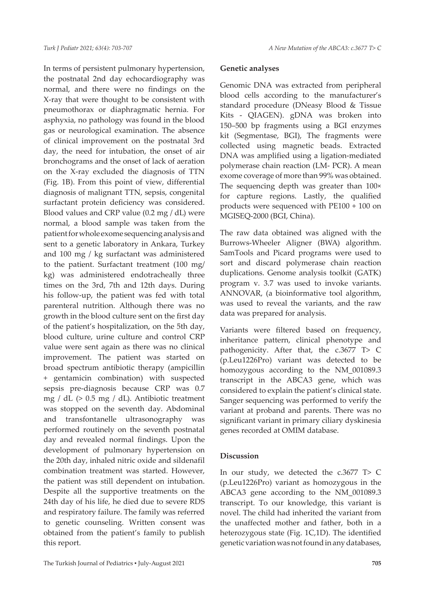In terms of persistent pulmonary hypertension, the postnatal 2nd day echocardiography was normal, and there were no findings on the X-ray that were thought to be consistent with pneumothorax or diaphragmatic hernia. For asphyxia, no pathology was found in the blood gas or neurological examination. The absence of clinical improvement on the postnatal 3rd day, the need for intubation, the onset of air bronchograms and the onset of lack of aeration on the X-ray excluded the diagnosis of TTN (Fig. 1B). From this point of view, differential diagnosis of malignant TTN, sepsis, congenital surfactant protein deficiency was considered. Blood values and CRP value (0.2 mg / dL) were normal, a blood sample was taken from the patient for whole exome sequencing analysis and sent to a genetic laboratory in Ankara, Turkey and 100 mg / kg surfactant was administered to the patient. Surfactant treatment (100 mg/ kg) was administered endotracheally three times on the 3rd, 7th and 12th days. During his follow-up, the patient was fed with total parenteral nutrition. Although there was no growth in the blood culture sent on the first day of the patient's hospitalization, on the 5th day, blood culture, urine culture and control CRP value were sent again as there was no clinical improvement. The patient was started on broad spectrum antibiotic therapy (ampicillin + gentamicin combination) with suspected sepsis pre-diagnosis because CRP was 0.7 mg / dL (> 0.5 mg / dL). Antibiotic treatment was stopped on the seventh day. Abdominal and transfontanelle ultrasonography was performed routinely on the seventh postnatal day and revealed normal findings. Upon the development of pulmonary hypertension on the 20th day, inhaled nitric oxide and sildenafil combination treatment was started. However, the patient was still dependent on intubation. Despite all the supportive treatments on the 24th day of his life, he died due to severe RDS and respiratory failure. The family was referred to genetic counseling. Written consent was obtained from the patient's family to publish this report.

#### **Genetic analyses**

Genomic DNA was extracted from peripheral blood cells according to the manufacturer's standard procedure (DNeasy Blood & Tissue Kits - QIAGEN). gDNA was broken into 150–500 bp fragments using a BGI enzymes kit (Segmentase, BGI), The fragments were collected using magnetic beads. Extracted DNA was amplified using a ligation-mediated polymerase chain reaction (LM- PCR). A mean exome coverage of more than 99% was obtained. The sequencing depth was greater than 100× for capture regions. Lastly, the qualified products were sequenced with PE100 + 100 on MGISEQ-2000 (BGI, China).

The raw data obtained was aligned with the Burrows-Wheeler Aligner (BWA) algorithm. SamTools and Picard programs were used to sort and discard polymerase chain reaction duplications. Genome analysis toolkit (GATK) program v. 3.7 was used to invoke variants. ANNOVAR, (a bioinformative tool algorithm, was used to reveal the variants, and the raw data was prepared for analysis.

Variants were filtered based on frequency, inheritance pattern, clinical phenotype and pathogenicity. After that, the c.3677 T> C (p.Leu1226Pro) variant was detected to be homozygous according to the NM\_001089.3 transcript in the ABCA3 gene, which was considered to explain the patient's clinical state. Sanger sequencing was performed to verify the variant at proband and parents. There was no significant variant in primary ciliary dyskinesia genes recorded at OMIM database.

#### **Discussion**

In our study, we detected the c.3677 T> C (p.Leu1226Pro) variant as homozygous in the ABCA3 gene according to the NM\_001089.3 transcript. To our knowledge, this variant is novel. The child had inherited the variant from the unaffected mother and father, both in a heterozygous state (Fig. 1C,1D). The identified genetic variation was not found in any databases,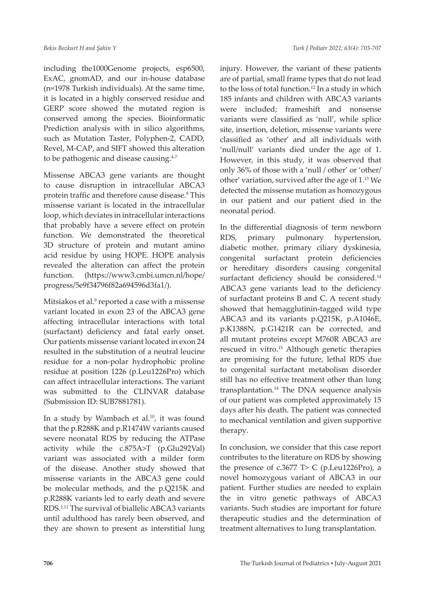including the1000Genome projects, esp6500, ExAC, gnomAD, and our in-house database (n=1978 Turkish individuals). At the same time, it is located in a highly conserved residue and GERP score showed the mutated region is conserved among the species. Bioinformatic Prediction analysis with in silico algorithms, such as Mutation Taster, Polyphen-2, CADD, Revel, M-CAP, and SIFT showed this alteration to be pathogenic and disease causing.<sup>4-7</sup>

Missense ABCA3 gene variants are thought to cause disruption in intracellular ABCA3 protein traffic and therefore cause disease.<sup>8</sup> This missense variant is located in the intracellular loop, which deviates in intracellular interactions that probably have a severe effect on protein function. We demonstrated the theoretical 3D structure of protein and mutant amino acid residue by using HOPE. HOPE analysis revealed the alteration can affect the protein function. (https://www3.cmbi.umcn.nl/hope/ progress/5e9f34796f82a694596d3fa1/).

Mitsiakos et al.<sup>9</sup> reported a case with a missense variant located in exon 23 of the ABCA3 gene affecting intracellular interactions with total (surfactant) deficiency and fatal early onset. Our patients missense variant located in exon 24 resulted in the substitution of a neutral leucine residue for a non-polar hydrophobic proline residue at position 1226 (p.Leu1226Pro) which can affect intracellular interactions. The variant was submitted to the CLINVAR database (Submission ID: SUB7881781).

In a study by Wambach et al. $10$ , it was found that the p.R288K and p.R1474W variants caused severe neonatal RDS by reducing the ATPase activity while the c.875A>T (p.Glu292Val) variant was associated with a milder form of the disease. Another study showed that missense variants in the ABCA3 gene could be molecular methods, and the p.Q215K and p.R288K variants led to early death and severe RDS.1,11 The survival of biallelic ABCA3 variants until adulthood has rarely been observed, and they are shown to present as interstitial lung

injury. However, the variant of these patients are of partial, small frame types that do not lead to the loss of total function.<sup>12</sup> In a study in which 185 infants and children with ABCA3 variants were included; frameshift and nonsense variants were classified as 'null', while splice site, insertion, deletion, missense variants were classified as 'other' and all individuals with 'null/null' variants died under the age of 1. However, in this study, it was observed that only 36% of those with a 'null / other' or 'other/ other' variation, survived after the age of 1.13 We detected the missense mutation as homozygous in our patient and our patient died in the neonatal period.

In the differential diagnosis of term newborn RDS, primary pulmonary hypertension, diabetic mother, primary ciliary dyskinesia, congenital surfactant protein deficiencies or hereditary disorders causing congenital surfactant deficiency should be considered.<sup>14</sup> ABCA3 gene variants lead to the deficiency of surfactant proteins B and C. A recent study showed that hemagglutinin-tagged wild type ABCA3 and its variants p.Q215K, p.A1046E, p.K1388N, p.G1421R can be corrected, and all mutant proteins except M760R ABCA3 are rescued in vitro.<sup>15</sup> Although genetic therapies are promising for the future, lethal RDS due to congenital surfactant metabolism disorder still has no effective treatment other than lung transplantation.14 The DNA sequence analysis of our patient was completed approximately 15 days after his death. The patient was connected to mechanical ventilation and given supportive therapy.

In conclusion, we consider that this case report contributes to the literature on RDS by showing the presence of c.3677 T> C (p.Leu1226Pro), a novel homozygous variant of ABCA3 in our patient. Further studies are needed to explain the in vitro genetic pathways of ABCA3 variants. Such studies are important for future therapeutic studies and the determination of treatment alternatives to lung transplantation.